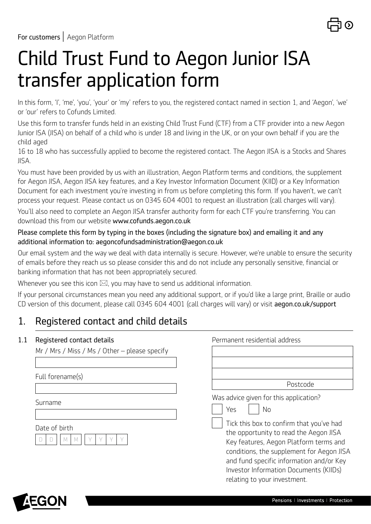

# Child Trust Fund to Aegon Junior ISA transfer application form

In this form, 'I', 'me', 'you', 'your' or 'my' refers to you, the registered contact named in section 1, and 'Aegon', 'we' or 'our' refers to Cofunds Limited.

Use this form to transfer funds held in an existing Child Trust Fund (CTF) from a CTF provider into a new Aegon Junior ISA (JISA) on behalf of a child who is under 18 and living in the UK, or on your own behalf if you are the child aged

16 to 18 who has successfully applied to become the registered contact. The Aegon JISA is a Stocks and Shares JISA.

You must have been provided by us with an illustration, Aegon Platform terms and conditions, the supplement for Aegon JISA, Aegon JISA key features, and a Key Investor Information Document (KIID) or a Key Information Document for each investment you're investing in from us before completing this form. If you haven't, we can't process your request. Please contact us on 0345 604 4001 to request an illustration (call charges will vary).

You'll also need to complete an Aegon JISA transfer authority form for each CTF you're transferring. You can download this from our website [www.cofunds.aegon.co.uk](https://www.cofunds.aegon.co.uk/index.html) 

## Please complete this form by typing in the boxes (including the signature box) and emailing it and any additional information to: [aegoncofundsadministration@aegon.co.uk](mailto:aegoncofundsadministration%40aegon.co.uk?subject=)

Our email system and the way we deal with data internally is secure. However, we're unable to ensure the security of emails before they reach us so please consider this and do not include any personally sensitive, financial or banking information that has not been appropriately secured.

Whenever you see this icon  $\boxtimes$ , you may have to send us additional information.

If your personal circumstances mean you need any additional support, or if you'd like a large print, Braille or audio CD version of this document, please call 0345 604 4001 (call charges will vary) or visit [aegon.co.uk/support](http://aegon.co.uk/support) 

# 1. Registered contact and child details

## 1.1 Registered contact details Permanent residential address

| Mr / Mrs / Miss / Ms / Other – please specify |                                                                                                                                                                                                                                                                                                                                                        |
|-----------------------------------------------|--------------------------------------------------------------------------------------------------------------------------------------------------------------------------------------------------------------------------------------------------------------------------------------------------------------------------------------------------------|
|                                               |                                                                                                                                                                                                                                                                                                                                                        |
| Full forename(s)                              |                                                                                                                                                                                                                                                                                                                                                        |
|                                               | Postcode                                                                                                                                                                                                                                                                                                                                               |
| Surname<br>Date of birth                      | Was advice given for this application?<br>Yes<br>No<br>Tick this box to confirm that you've had<br>the opportunity to read the Aegon JISA<br>Key features, Aegon Platform terms and<br>conditions, the supplement for Aegon JISA<br>and fund specific information and/or Key<br>Investor Information Documents (KIIDs)<br>relating to your investment. |

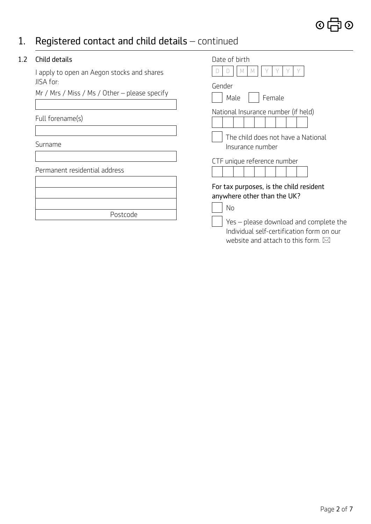# 1. Registered contact and child details – continued

## 1.2 Child details

I apply to open an Aegon stocks and shares JISA for:

Mr / Mrs / Miss / Ms / Other – please specify

## Full forename(s)

Surname

Permanent residential address

| Postcode |
|----------|
|          |

| Date of hirth<br>M                                                                                                                  |  |  |
|-------------------------------------------------------------------------------------------------------------------------------------|--|--|
| Gender<br>Male<br>Female                                                                                                            |  |  |
| National Insurance number (if held)                                                                                                 |  |  |
| The child does not have a National<br>Insurance number                                                                              |  |  |
| CTF unique reference number                                                                                                         |  |  |
| For tax purposes, is the child resident<br>anywhere other than the UK?<br>No                                                        |  |  |
| Yes - please download and complete the<br>Individual self-certification form on our<br>website and attach to this form. $\boxtimes$ |  |  |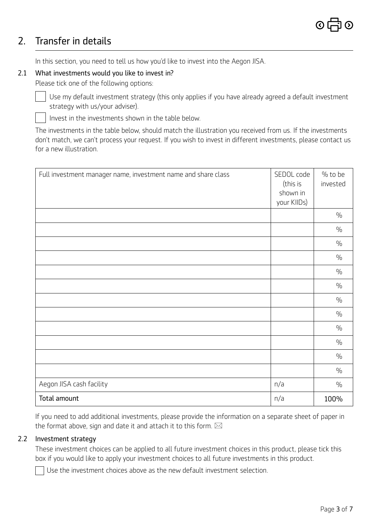# 2. Transfer in details

 $\overline{\phantom{a}}$ 

In this section, you need to tell us how you'd like to invest into the Aegon JISA.

## 2.1 What investments would you like to invest in?

Please tick one of the following options:

Use my default investment strategy (this only applies if you have already agreed a default investment strategy with us/your adviser).

 $\overline{\phantom{a}}$ Invest in the investments shown in the table below.

The investments in the table below, should match the illustration you received from us. If the investments don't match, we can't process your request. If you wish to invest in different investments, please contact us for a new illustration.

| Full investment manager name, investment name and share class | SEDOL code<br>(this is<br>shown in<br>your KIIDs) | % to be<br>invested |
|---------------------------------------------------------------|---------------------------------------------------|---------------------|
|                                                               |                                                   | $\frac{0}{0}$       |
|                                                               |                                                   | $\frac{0}{0}$       |
|                                                               |                                                   | $\%$                |
|                                                               |                                                   | $\frac{0}{0}$       |
|                                                               |                                                   | $\frac{0}{0}$       |
|                                                               |                                                   | $\frac{0}{0}$       |
|                                                               |                                                   | $\frac{0}{0}$       |
|                                                               |                                                   | $\%$                |
|                                                               |                                                   | $\frac{0}{0}$       |
|                                                               |                                                   | $\%$                |
|                                                               |                                                   | $\frac{0}{0}$       |
|                                                               |                                                   | $\frac{0}{0}$       |
| Aegon JISA cash facility                                      | n/a                                               | $\frac{0}{0}$       |
| Total amount                                                  | n/a                                               | 100%                |

If you need to add additional investments, please provide the information on a separate sheet of paper in the format above, sign and date it and attach it to this form.  $\boxtimes$ 

## 2.2 Investment strategy

These investment choices can be applied to all future investment choices in this product, please tick this box if you would like to apply your investment choices to all future investments in this product.

Use the investment choices above as the new default investment selection.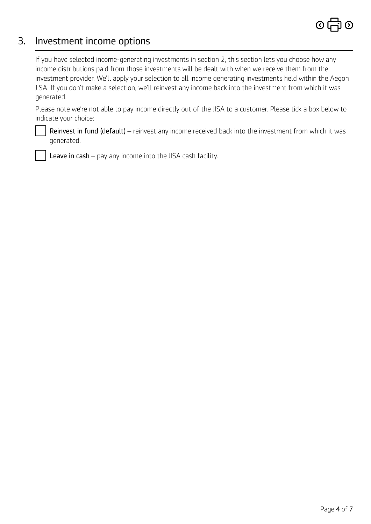## 3. Investment income options

 $\overline{\phantom{a}}$ 

If you have selected income-generating investments in section 2, this section lets you choose how any income distributions paid from those investments will be dealt with when we receive them from the investment provider. We'll apply your selection to all income generating investments held within the Aegon JISA. If you don't make a selection, we'll reinvest any income back into the investment from which it was generated.

Please note we're not able to pay income directly out of the JISA to a customer. Please tick a box below to indicate your choice:

Reinvest in fund (default) – reinvest any income received back into the investment from which it was generated.

 $\overline{\phantom{a}}$ Leave in cash - pay any income into the JISA cash facility.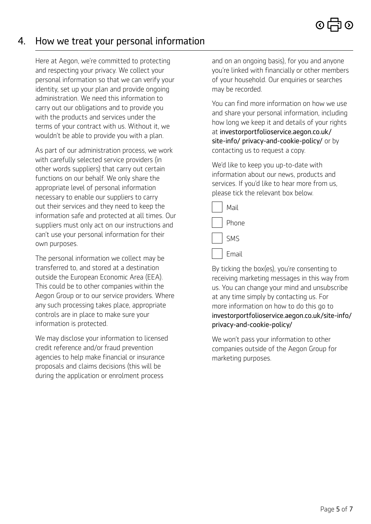# 4. How we treat your personal information

Here at Aegon, we're committed to protecting and respecting your privacy. We collect your personal information so that we can verify your identity, set up your plan and provide ongoing administration. We need this information to carry out our obligations and to provide you with the products and services under the terms of your contract with us. Without it, we wouldn't be able to provide you with a plan.

As part of our administration process, we work with carefully selected service providers (in other words suppliers) that carry out certain functions on our behalf. We only share the appropriate level of personal information necessary to enable our suppliers to carry out their services and they need to keep the information safe and protected at all times. Our suppliers must only act on our instructions and can't use your personal information for their own purposes.

The personal information we collect may be transferred to, and stored at a destination outside the European Economic Area (EEA). This could be to other companies within the Aegon Group or to our service providers. Where any such processing takes place, appropriate controls are in place to make sure your information is protected.

We may disclose your information to licensed credit reference and/or fraud prevention agencies to help make financial or insurance proposals and claims decisions (this will be during the application or enrolment process

and on an ongoing basis), for you and anyone you're linked with financially or other members of your household. Our enquiries or searches may be recorded.

You can find more information on how we use and share your personal information, including how long we keep it and details of your rights at [investorportfolioservice.aegon.co.uk/](https://investorportfolioservice.aegon.co.uk/site-info/privacy-and-cookie-policy/)  [site-info/ privacy-and-cookie-policy/](https://investorportfolioservice.aegon.co.uk/site-info/privacy-and-cookie-policy/) or by contacting us to request a copy.

We'd like to keep you up-to-date with information about our news, products and services. If you'd like to hear more from us, please tick the relevant box below.

| Mail  |
|-------|
| Phone |
| SMS   |
| Email |

By ticking the box(es), you're consenting to receiving marketing messages in this way from us. You can change your mind and unsubscribe at any time simply by contacting us. For more information on how to do this go to [investorportfolioservice.aegon.co.uk/site-info/](https://investorportfolioservice.aegon.co.uk/site-info/privacy-and-cookie-policy/)  [privacy-and-cookie-policy/](https://investorportfolioservice.aegon.co.uk/site-info/privacy-and-cookie-policy/)

We won't pass your information to other companies outside of the Aegon Group for marketing purposes.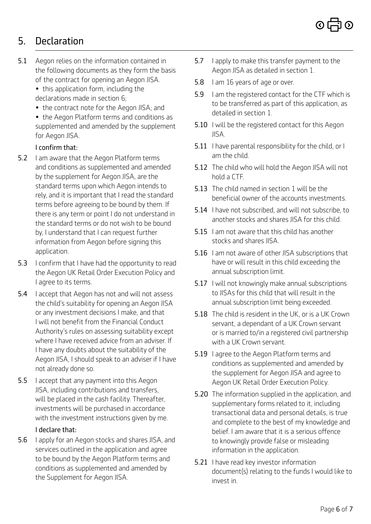

# 5. Declaration

 $5.1$ Aegon relies on the information contained in the following documents as they form the basis of the contract for opening an Aegon JISA.

> • this application form, including the declarations made in section 6;

- the contract note for the Aegon JISA; and
- the Aegon Platform terms and conditions as supplemented and amended by the supplement for Aegon JISA.

## I confirm that:

- $5.2$ I am aware that the Aegon Platform terms and conditions as supplemented and amended by the supplement for Aegon JISA, are the standard terms upon which Aegon intends to rely, and it is important that I read the standard terms before agreeing to be bound by them. If there is any term or point I do not understand in the standard terms or do not wish to be bound by, I understand that I can request further information from Aegon before signing this application.
- $5.3$ I confirm that I have had the opportunity to read the Aegon UK Retail Order Execution Policy and I agree to its terms.
- $5.4$ 5.4 I accept that Aegon has not and will not assess the child's suitability for opening an Aegon JISA or any investment decisions I make, and that I will not benefit from the Financial Conduct Authority's rules on assessing suitability except where I have received advice from an adviser. If I have any doubts about the suitability of the Aegon JISA, I should speak to an adviser if I have not already done so.
- $5.5$ I accept that any payment into this Aegon JISA, including contributions and transfers, will be placed in the cash facility. Thereafter, investments will be purchased in accordance with the investment instructions given by me.

## I declare that:

 $5.6$ 5.6 I apply for an Aegon stocks and shares JISA, and services outlined in the application and agree to be bound by the Aegon Platform terms and conditions as supplemented and amended by the Supplement for Aegon JISA.

- 5.7 I apply to make this transfer payment to the Aegon JISA as detailed in section 1.
- $5.8$ I am 16 years of age or over.
- 5.9 I am the registered contact for the CTF which is to be transferred as part of this application, as detailed in section 1.
- 5.10 I will be the registered contact for this Aegon JISA.
- 5.11 I have parental responsibility for the child, or I am the child.
- 5.12 The child who will hold the Aegon JISA will not hold a CTF.
- 5.13 The child named in section 1 will be the beneficial owner of the accounts investments.
- 5.14 I have not subscribed, and will not subscribe, to another stocks and shares JISA for this child.
- 5.15 I am not aware that this child has another stocks and shares JISA.
- 5.16 I am not aware of other JISA subscriptions that have or will result in this child exceeding the annual subscription limit.
- 5.17 I will not knowingly make annual subscriptions to JISAs for this child that will result in the annual subscription limit being exceeded.
- 5.18 The child is resident in the UK, or is a UK Crown servant, a dependant of a UK Crown servant or is married to/in a registered civil partnership with a UK Crown servant.
- 5.19 I agree to the Aegon Platform terms and conditions as supplemented and amended by the supplement for Aegon JISA and agree to Aegon UK Retail Order Execution Policy.
- 5.20 The information supplied in the application, and supplementary forms related to it, including transactional data and personal details, is true and complete to the best of my knowledge and belief. I am aware that it is a serious offence to knowingly provide false or misleading information in the application.
- 5.21 I have read key investor information document(s) relating to the funds I would like to invest in.